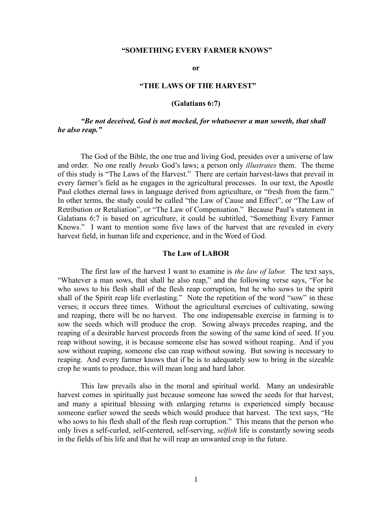## **"SOMETHING EVERY FARMER KNOWS"**

**or**

# **"THE LAWS OF THE HARVEST"**

## **(Galatians 6:7)**

*"Be not deceived, God is not mocked, for whatsoever a man soweth, that shall he also reap."*

The God of the Bible, the one true and living God, presides over a universe of law and order. No one really *breaks* God's laws; a person only *illustrates* them. The theme of this study is "The Laws of the Harvest." There are certain harvest-laws that prevail in every farmer's field as he engages in the agricultural processes. In our text, the Apostle Paul clothes eternal laws in language derived from agriculture, or "fresh from the farm." In other terms, the study could be called "the Law of Cause and Effect", or "The Law of Retribution or Retaliation", or "The Law of Compensation." Because Paul's statement in Galatians 6:7 is based on agriculture, it could be subtitled, "Something Every Farmer Knows." I want to mention some five laws of the harvest that are revealed in every harvest field, in human life and experience, and in the Word of God.

# **The Law of LABOR**

The first law of the harvest I want to examine is *the law of labor.* The text says, "Whatever a man sows, that shall he also reap," and the following verse says, "For he who sows to his flesh shall of the flesh reap corruption, but he who sows to the spirit shall of the Spirit reap life everlasting." Note the repetition of the word "sow" in these verses; it occurs three times. Without the agricultural exercises of cultivating, sowing and reaping, there will be no harvest. The one indispensable exercise in farming is to sow the seeds which will produce the crop. Sowing always precedes reaping, and the reaping of a desirable harvest proceeds from the sowing of the same kind of seed. If you reap without sowing, it is because someone else has sowed without reaping. And if you sow without reaping, someone else can reap without sowing. But sowing is necessary to reaping. And every farmer knows that if he is to adequately sow to bring in the sizeable crop he wants to produce, this will mean long and hard labor.

This law prevails also in the moral and spiritual world. Many an undesirable harvest comes in spiritually just because someone has sowed the seeds for that harvest, and many a spiritual blessing with enlarging returns is experienced simply because someone earlier sowed the seeds which would produce that harvest. The text says, "He who sows to his flesh shall of the flesh reap corruption." This means that the person who only lives a self-curled, self-centered, self-serving, *selfish* life is constantly sowing seeds in the fields of his life and that he will reap an unwanted crop in the future.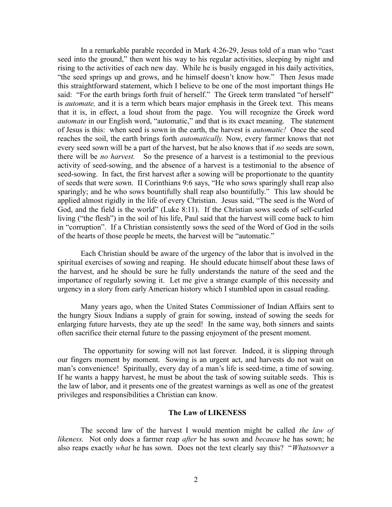In a remarkable parable recorded in Mark 4:26-29, Jesus told of a man who "cast seed into the ground," then went his way to his regular activities, sleeping by night and rising to the activities of each new day. While he is busily engaged in his daily activities, "the seed springs up and grows, and he himself doesn't know how." Then Jesus made this straightforward statement, which I believe to be one of the most important things He said: "For the earth brings forth fruit of herself." The Greek term translated "of herself" is *automate,* and it is a term which bears major emphasis in the Greek text. This means that it is, in effect, a loud shout from the page. You will recognize the Greek word *automate* in our English word, "automatic," and that is its exact meaning. The statement of Jesus is this: when seed is sown in the earth, the harvest is *automatic!* Once the seed reaches the soil, the earth brings forth *automatically.* Now, every farmer knows that not every seed sown will be a part of the harvest, but he also knows that if *no* seeds are sown, there will be *no harvest.* So the presence of a harvest is a testimonial to the previous activity of seed-sowing, and the absence of a harvest is a testimonial to the absence of seed-sowing. In fact, the first harvest after a sowing will be proportionate to the quantity of seeds that were sown. II Corinthians 9:6 says, "He who sows sparingly shall reap also sparingly; and he who sows bountifully shall reap also bountifully." This law should be applied almost rigidly in the life of every Christian. Jesus said, "The seed is the Word of God, and the field is the world" (Luke 8:11). If the Christian sows seeds of self-curled living ("the flesh") in the soil of his life, Paul said that the harvest will come back to him in "corruption". If a Christian consistently sows the seed of the Word of God in the soils of the hearts of those people he meets, the harvest will be "automatic."

Each Christian should be aware of the urgency of the labor that is involved in the spiritual exercises of sowing and reaping. He should educate himself about these laws of the harvest, and he should be sure he fully understands the nature of the seed and the importance of regularly sowing it. Let me give a strange example of this necessity and urgency in a story from early American history which I stumbled upon in casual reading.

Many years ago, when the United States Commissioner of Indian Affairs sent to the hungry Sioux Indians a supply of grain for sowing, instead of sowing the seeds for enlarging future harvests, they ate up the seed! In the same way, both sinners and saints often sacrifice their eternal future to the passing enjoyment of the present moment.

 The opportunity for sowing will not last forever. Indeed, it is slipping through our fingers moment by moment. Sowing is an urgent act, and harvests do not wait on man's convenience! Spiritually, every day of a man's life is seed-time, a time of sowing. If he wants a happy harvest, he must be about the task of sowing suitable seeds. This is the law of labor, and it presents one of the greatest warnings as well as one of the greatest privileges and responsibilities a Christian can know.

# **The Law of LIKENESS**

The second law of the harvest I would mention might be called *the law of likeness.* Not only does a farmer reap *after* he has sown and *because* he has sown; he also reaps exactly *what* he has sown. Does not the text clearly say this? "*Whatsoever* a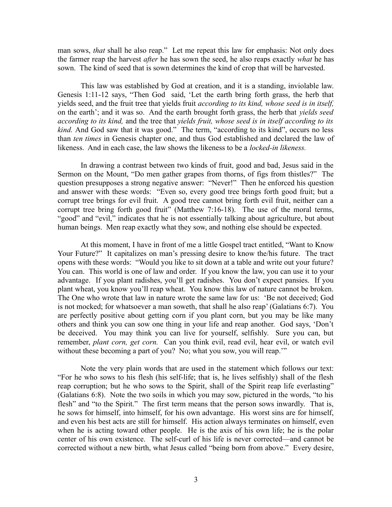man sows, *that* shall he also reap." Let me repeat this law for emphasis: Not only does the farmer reap the harvest *after* he has sown the seed, he also reaps exactly *what* he has sown. The kind of seed that is sown determines the kind of crop that will be harvested.

This law was established by God at creation, and it is a standing, inviolable law. Genesis 1:11-12 says, "Then God said, 'Let the earth bring forth grass, the herb that yields seed, and the fruit tree that yields fruit *according to its kind, whose seed is in itself,* on the earth'; and it was so. And the earth brought forth grass, the herb that *yields seed according to its kind,* and the tree that *yields fruit, whose seed is in itself according to its kind.* And God saw that it was good." The term, "according to its kind", occurs no less than *ten times* in Genesis chapter one, and thus God established and declared the law of likeness. And in each case, the law shows the likeness to be a *locked-in likeness.* 

In drawing a contrast between two kinds of fruit, good and bad, Jesus said in the Sermon on the Mount, "Do men gather grapes from thorns, of figs from thistles?" The question presupposes a strong negative answer: "Never!" Then he enforced his question and answer with these words: "Even so, every good tree brings forth good fruit; but a corrupt tree brings for evil fruit. A good tree cannot bring forth evil fruit, neither can a corrupt tree bring forth good fruit" (Matthew 7:16-18). The use of the moral terms, "good" and "evil," indicates that he is not essentially talking about agriculture, but about human beings. Men reap exactly what they sow, and nothing else should be expected.

At this moment, I have in front of me a little Gospel tract entitled, "Want to Know Your Future?" It capitalizes on man's pressing desire to know the/his future. The tract opens with these words: "Would you like to sit down at a table and write out your future? You can. This world is one of law and order. If you know the law, you can use it to your advantage. If you plant radishes, you'll get radishes. You don't expect pansies. If you plant wheat, you know you'll reap wheat. You know this law of nature cannot be broken. The One who wrote that law in nature wrote the same law for us: 'Be not deceived; God is not mocked; for whatsoever a man soweth, that shall he also reap' (Galatians 6:7). You are perfectly positive about getting corn if you plant corn, but you may be like many others and think you can sow one thing in your life and reap another. God says, 'Don't be deceived. You may think you can live for yourself, selfishly. Sure you can, but remember, *plant corn, get corn.* Can you think evil, read evil, hear evil, or watch evil without these becoming a part of you? No; what you sow, you will reap."

Note the very plain words that are used in the statement which follows our text: "For he who sows to his flesh (his self-life; that is, he lives selfishly) shall of the flesh reap corruption; but he who sows to the Spirit, shall of the Spirit reap life everlasting" (Galatians 6:8). Note the two soils in which you may sow, pictured in the words, "to his flesh" and "to the Spirit." The first term means that the person sows inwardly. That is, he sows for himself, into himself, for his own advantage. His worst sins are for himself, and even his best acts are still for himself. His action always terminates on himself, even when he is acting toward other people. He is the axis of his own life; he is the polar center of his own existence. The self-curl of his life is never corrected—and cannot be corrected without a new birth, what Jesus called "being born from above." Every desire,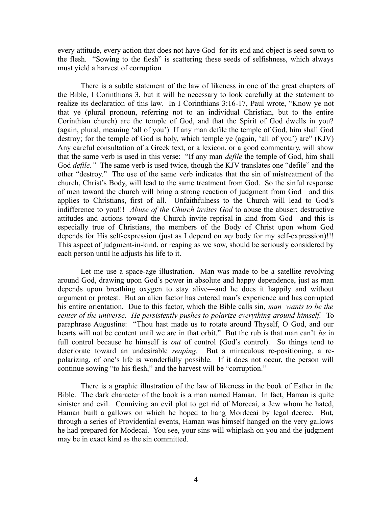every attitude, every action that does not have God for its end and object is seed sown to the flesh. "Sowing to the flesh" is scattering these seeds of selfishness, which always must yield a harvest of corruption

There is a subtle statement of the law of likeness in one of the great chapters of the Bible, I Corinthians 3, but it will be necessary to look carefully at the statement to realize its declaration of this law. In I Corinthians 3:16-17, Paul wrote, "Know ye not that ye (plural pronoun, referring not to an individual Christian, but to the entire Corinthian church) are the temple of God, and that the Spirit of God dwells in you? (again, plural, meaning 'all of you') If any man defile the temple of God, him shall God destroy; for the temple of God is holy, which temple ye (again, 'all of you') are" (KJV) Any careful consultation of a Greek text, or a lexicon, or a good commentary, will show that the same verb is used in this verse: "If any man *defile* the temple of God, him shall God *defile.*" The same verb is used twice, though the KJV translates one "defile" and the other "destroy." The use of the same verb indicates that the sin of mistreatment of the church, Christ's Body, will lead to the same treatment from God. So the sinful response of men toward the church will bring a strong reaction of judgment from God—and this applies to Christians, first of all. Unfaithfulness to the Church will lead to God's indifference to you!!! *Abuse of the Church invites God* to abuse the abuser; destructive attitudes and actions toward the Church invite reprisal-in-kind from God—and this is especially true of Christians, the members of the Body of Christ upon whom God depends for His self-expression (just as I depend on *my* body for my self-expression)!!! This aspect of judgment-in-kind, or reaping as we sow, should be seriously considered by each person until he adjusts his life to it.

Let me use a space-age illustration. Man was made to be a satellite revolving around God, drawing upon God's power in absolute and happy dependence, just as man depends upon breathing oxygen to stay alive—and he does it happily and without argument or protest. But an alien factor has entered man's experience and has corrupted his entire orientation. Due to this factor, which the Bible calls sin, *man wants to be the center of the universe. He persistently pushes to polarize everything around himself.* To paraphrase Augustine: "Thou hast made us to rotate around Thyself, O God, and our hearts will not be content until we are in that orbit." But the rub is that man can't *be* in full control because he himself is *out* of control (God's control). So things tend to deteriorate toward an undesirable *reaping.* But a miraculous re-positioning, a repolarizing, of one's life is wonderfully possible. If it does not occur, the person will continue sowing "to his flesh," and the harvest will be "corruption."

There is a graphic illustration of the law of likeness in the book of Esther in the Bible. The dark character of the book is a man named Haman. In fact, Haman is quite sinister and evil. Conniving an evil plot to get rid of Morecai, a Jew whom he hated, Haman built a gallows on which he hoped to hang Mordecai by legal decree. But, through a series of Providential events, Haman was himself hanged on the very gallows he had prepared for Modecai. You see, your sins will whiplash on you and the judgment may be in exact kind as the sin committed.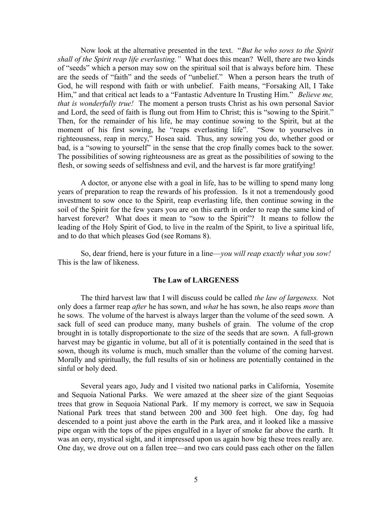Now look at the alternative presented in the text. "*But he who sows to the Spirit shall of the Spirit reap life everlasting."* What does this mean? Well, there are two kinds of "seeds" which a person may sow on the spiritual soil that is always before him. These are the seeds of "faith" and the seeds of "unbelief." When a person hears the truth of God, he will respond with faith or with unbelief. Faith means, "Forsaking All, I Take Him," and that critical act leads to a "Fantastic Adventure In Trusting Him." *Believe me, that is wonderfully true!* The moment a person trusts Christ as his own personal Savior and Lord, the seed of faith is flung out from Him to Christ; this is "sowing to the Spirit." Then, for the remainder of his life, he may continue sowing to the Spirit, but at the moment of his first sowing, he "reaps everlasting life". "Sow to yourselves in righteousness, reap in mercy," Hosea said. Thus, any sowing you do, whether good or bad, is a "sowing to yourself" in the sense that the crop finally comes back to the sower. The possibilities of sowing righteousness are as great as the possibilities of sowing to the flesh, or sowing seeds of selfishness and evil, and the harvest is far more gratifying!

A doctor, or anyone else with a goal in life, has to be willing to spend many long years of preparation to reap the rewards of his profession. Is it not a tremendously good investment to sow once to the Spirit, reap everlasting life, then continue sowing in the soil of the Spirit for the few years you are on this earth in order to reap the same kind of harvest forever? What does it mean to "sow to the Spirit"? It means to follow the leading of the Holy Spirit of God, to live in the realm of the Spirit, to live a spiritual life, and to do that which pleases God (see Romans 8).

So, dear friend, here is your future in a line—*you will reap exactly what you sow!* This is the law of likeness.

## **The Law of LARGENESS**

The third harvest law that I will discuss could be called *the law of largeness.* Not only does a farmer reap *after* he has sown, and *what* he has sown, he also reaps *more* than he sows. The volume of the harvest is always larger than the volume of the seed sown. A sack full of seed can produce many, many bushels of grain. The volume of the crop brought in is totally disproportionate to the size of the seeds that are sown. A full-grown harvest may be gigantic in volume, but all of it is potentially contained in the seed that is sown, though its volume is much, much smaller than the volume of the coming harvest. Morally and spiritually, the full results of sin or holiness are potentially contained in the sinful or holy deed.

Several years ago, Judy and I visited two national parks in California, Yosemite and Sequoia National Parks. We were amazed at the sheer size of the giant Sequoias trees that grow in Sequoia National Park. If my memory is correct, we saw in Sequoia National Park trees that stand between 200 and 300 feet high. One day, fog had descended to a point just above the earth in the Park area, and it looked like a massive pipe organ with the tops of the pipes engulfed in a layer of smoke far above the earth. It was an eery, mystical sight, and it impressed upon us again how big these trees really are. One day, we drove out on a fallen tree—and two cars could pass each other on the fallen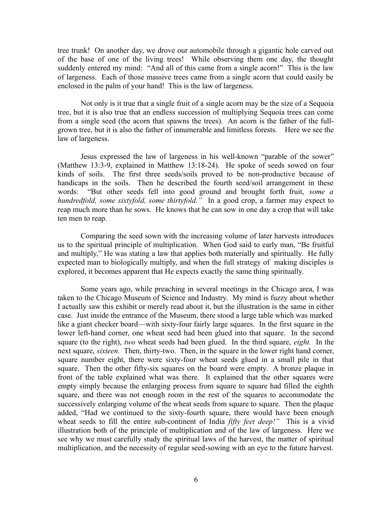tree trunk! On another day, we drove our automobile through a gigantic hole carved out of the base of one of the living trees! While observing them one day, the thought suddenly entered my mind: "And all of this came from a single acorn!" This is the law of largeness. Each of those massive trees came from a single acorn that could easily be enclosed in the palm of your hand! This is the law of largeness.

Not only is it true that a single fruit of a single acorn may be the size of a Sequoia tree, but it is also true that an endless succession of multiplying Sequoia trees can come from a single seed (the acorn that spawns the trees). An acorn is the father of the fullgrown tree, but it is also the father of innumerable and limitless forests. Here we see the law of largeness.

Jesus expressed the law of largeness in his well-known "parable of the sower" (Matthew 13:3-9, explained in Matthew 13:18-24). He spoke of seeds sowed on four kinds of soils. The first three seeds/soils proved to be non-productive because of handicaps in the soils. Then he described the fourth seed/soil arrangement in these words: "But other seeds fell into good ground and brought forth fruit, *some a hundredfold, some sixtyfold, some thirtyfold.*" In a good crop, a farmer may expect to reap much more than he sows. He knows that he can sow in one day a crop that will take ten men to reap.

Comparing the seed sown with the increasing volume of later harvests introduces us to the spiritual principle of multiplication. When God said to early man, "Be fruitful and multiply," He was stating a law that applies both materially and spiritually. He fully expected man to biologically multiply, and when the full strategy of making disciples is explored, it becomes apparent that He expects exactly the same thing spiritually.

Some years ago, while preaching in several meetings in the Chicago area, I was taken to the Chicago Museum of Science and Industry. My mind is fuzzy about whether I actually saw this exhibit or merely read about it, but the illustration is the same in either case. Just inside the entrance of the Museum, there stood a large table which was marked like a giant checker board—with sixty-four fairly large squares. In the first square in the lower left-hand corner, one wheat seed had been glued into that square. In the second square (to the right), *two* wheat seeds had been glued. In the third square, *eight.* In the next square, *sixteen.* Then, thirty-two. Then, in the square in the lower right hand corner, square number eight, there were sixty-four wheat seeds glued in a small pile in that square. Then the other fifty-six squares on the board were empty. A bronze plaque in front of the table explained what was there. It explained that the other squares were empty simply because the enlarging process from square to square had filled the eighth square, and there was not enough room in the rest of the squares to accommodate the successively enlarging volume of the wheat seeds from square to square. Then the plaque added, "Had we continued to the sixty-fourth square, there would have been enough wheat seeds to fill the entire sub-continent of India *fifty feet deep!"* This is a vivid illustration both of the principle of multiplication and of the law of largeness. Here we see why we must carefully study the spiritual laws of the harvest, the matter of spiritual multiplication, and the necessity of regular seed-sowing with an eye to the future harvest.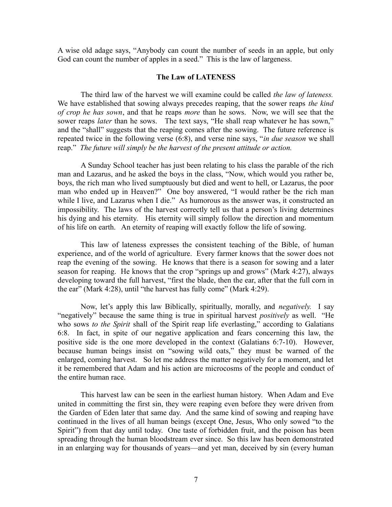A wise old adage says, "Anybody can count the number of seeds in an apple, but only God can count the number of apples in a seed." This is the law of largeness.

# **The Law of LATENESS**

The third law of the harvest we will examine could be called *the law of lateness.* We have established that sowing always precedes reaping, that the sower reaps *the kind of crop he has sown*, and that he reaps *more* than he sows. Now, we will see that the sower reaps *later* than he sows. The text says, "He shall reap whatever he has sown," and the "shall" suggests that the reaping comes after the sowing. The future reference is repeated twice in the following verse (6:8), and verse nine says, "*in due season* we shall reap." *The future will simply be the harvest of the present attitude or action.* 

A Sunday School teacher has just been relating to his class the parable of the rich man and Lazarus, and he asked the boys in the class, "Now, which would you rather be, boys, the rich man who lived sumptuously but died and went to hell, or Lazarus, the poor man who ended up in Heaven?" One boy answered, "I would rather be the rich man while I live, and Lazarus when I die." As humorous as the answer was, it constructed an impossibility. The laws of the harvest correctly tell us that a person's living determines his dying and his eternity. His eternity will simply follow the direction and momentum of his life on earth. An eternity of reaping will exactly follow the life of sowing.

This law of lateness expresses the consistent teaching of the Bible, of human experience, and of the world of agriculture. Every farmer knows that the sower does not reap the evening of the sowing. He knows that there is a season for sowing and a later season for reaping. He knows that the crop "springs up and grows" (Mark 4:27), always developing toward the full harvest, "first the blade, then the ear, after that the full corn in the ear" (Mark 4:28), until "the harvest has fully come" (Mark 4:29).

Now, let's apply this law Biblically, spiritually, morally, and *negatively.* I say "negatively" because the same thing is true in spiritual harvest *positively* as well. "He who sows *to the Spirit* shall of the Spirit reap life everlasting," according to Galatians 6:8. In fact, in spite of our negative application and fears concerning this law, the positive side is the one more developed in the context (Galatians 6:7-10). However, because human beings insist on "sowing wild oats," they must be warned of the enlarged, coming harvest. So let me address the matter negatively for a moment, and let it be remembered that Adam and his action are microcosms of the people and conduct of the entire human race.

This harvest law can be seen in the earliest human history. When Adam and Eve united in committing the first sin, they were reaping even before they were driven from the Garden of Eden later that same day. And the same kind of sowing and reaping have continued in the lives of all human beings (except One, Jesus, Who only sowed "to the Spirit") from that day until today. One taste of forbidden fruit, and the poison has been spreading through the human bloodstream ever since. So this law has been demonstrated in an enlarging way for thousands of years—and yet man, deceived by sin (every human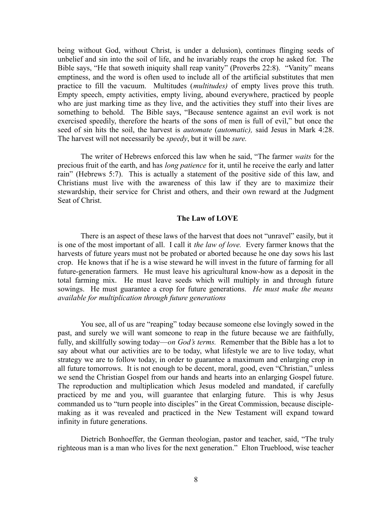being without God, without Christ, is under a delusion), continues flinging seeds of unbelief and sin into the soil of life, and he invariably reaps the crop he asked for. The Bible says, "He that soweth iniquity shall reap vanity" (Proverbs 22:8). "Vanity" means emptiness, and the word is often used to include all of the artificial substitutes that men practice to fill the vacuum. Multitudes (*multitudes)* of empty lives prove this truth. Empty speech, empty activities, empty living, abound everywhere, practiced by people who are just marking time as they live, and the activities they stuff into their lives are something to behold. The Bible says, "Because sentence against an evil work is not exercised speedily, therefore the hearts of the sons of men is full of evil," but once the seed of sin hits the soil, the harvest is *automate* (*automatic),* said Jesus in Mark 4:28. The harvest will not necessarily be *speedy*, but it will be *sure.* 

The writer of Hebrews enforced this law when he said, "The farmer *waits* for the precious fruit of the earth, and has *long patience* for it, until he receive the early and latter rain" (Hebrews 5:7). This is actually a statement of the positive side of this law, and Christians must live with the awareness of this law if they are to maximize their stewardship, their service for Christ and others, and their own reward at the Judgment Seat of Christ.

## **The Law of LOVE**

There is an aspect of these laws of the harvest that does not "unravel" easily, but it is one of the most important of all. I call it *the law of love.* Every farmer knows that the harvests of future years must not be probated or aborted because he one day sows his last crop. He knows that if he is a wise steward he will invest in the future of farming for all future-generation farmers. He must leave his agricultural know-how as a deposit in the total farming mix. He must leave seeds which will multiply in and through future sowings. He must guarantee a crop for future generations. *He must make the means available for multiplication through future generations*

You see, all of us are "reaping" today because someone else lovingly sowed in the past, and surely we will want someone to reap in the future because we are faithfully, fully, and skillfully sowing today—*on God's terms.* Remember that the Bible has a lot to say about what our activities are to be today, what lifestyle we are to live today, what strategy we are to follow today, in order to guarantee a maximum and enlarging crop in all future tomorrows.It is not enough to be decent, moral, good, even "Christian," unless we send the Christian Gospel from our hands and hearts into an enlarging Gospel future. The reproduction and multiplication which Jesus modeled and mandated, if carefully practiced by me and you, will guarantee that enlarging future. This is why Jesus commanded us to "turn people into disciples" in the Great Commission, because disciplemaking as it was revealed and practiced in the New Testament will expand toward infinity in future generations.

Dietrich Bonhoeffer, the German theologian, pastor and teacher, said, "The truly righteous man is a man who lives for the next generation." Elton Trueblood, wise teacher